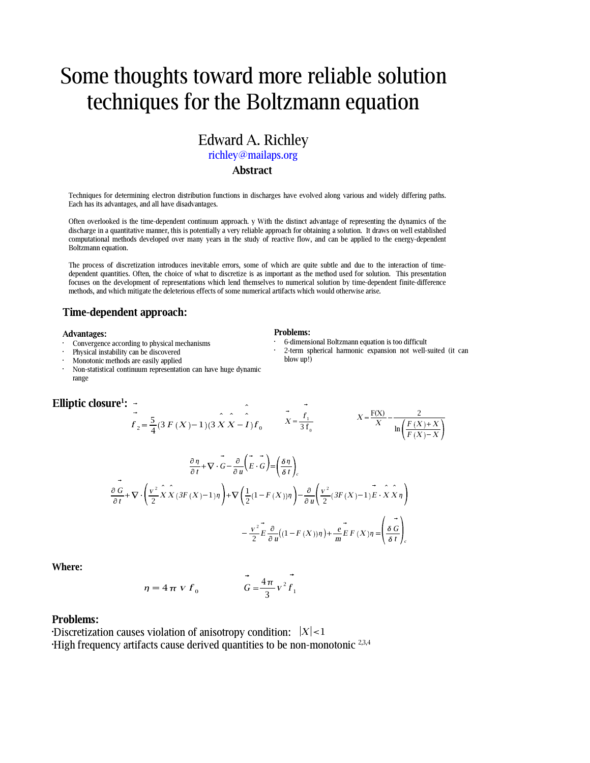# Some thoughts toward more reliable solution techniques for the Boltzmann equation

### Edward A. Richley richley@mailaps.org **Abstract**

Techniques for determining electron distribution functions in discharges have evolved along various and widely differing paths. Each has its advantages, and all have disadvantages.

Often overlooked is the time-dependent continuum approach. y With the distinct advantage of representing the dynamics of the discharge in a quantitative manner, this is potentially a very reliable approach for obtaining a solution. It draws on well established computational methods developed over many years in the study of reactive flow, and can be applied to the energy-dependent Boltzmann equation.

The process of discretization introduces inevitable errors, some of which are quite subtle and due to the interaction of timedependent quantities. Often, the choice of what to discretize is as important as the method used for solution. This presentation focuses on the development of representations which lend themselves to numerical solution by time-dependent finite-difference methods, and which mitigate the deleterious effects of some numerical artifacts which would otherwise arise.

 $\bar{\mathbf{v}}$ 

### **Time-dependent approach:**

### **Advantages:**

- Convergence according to physical mechanisms
- . . Physical instability can be discovered
- Monotonic methods are easily applied
- Non-statistical continuum representation can have huge dynamic range

### **Elliptic closure 1 :**

### **Problems:**

- 6-dimensional Boltzmann equation is too difficult
- 2-term spherical harmonic expansion not well-suited (it can blow up!)

 $\sim$   $\sim$ 

$$
f_2 = \frac{5}{4}(3F(X)-1)(3XX - I)f_0
$$
  

$$
\vec{X} = \frac{f_1}{3f_0}
$$
  

$$
X = \frac{F(X)}{X} - \frac{2}{\ln(\frac{F(X)+X}{F(X)-X})}
$$
  

$$
\frac{\partial \eta}{\partial t} + \nabla \cdot \vec{G} - \frac{\partial}{\partial u}(\vec{E} \cdot \vec{G}) = \left(\frac{\delta \eta}{\delta t}\right)_{c}
$$

$$
\frac{\partial G}{\partial t} + \nabla \cdot \left( \frac{v^2}{2} \hat{X} \hat{X} (3F(X) - 1)\eta \right) + \nabla \left( \frac{1}{2} (1 - F(X))\eta \right) - \frac{\partial}{\partial u} \left( \frac{v^2}{2} (3F(X) - 1)E \cdot \hat{X} \hat{X} \eta \right)
$$

$$
- \frac{v^2}{2} E \frac{\partial}{\partial u} ((1 - F(X))\eta) + \frac{e}{m} E F(X) \eta = \left( \frac{\partial G}{\partial t} \right)_c
$$

**Where:**

$$
\eta = 4 \pi V f_0 \qquad \qquad G = \frac{4 \pi}{3} V^2 f_1
$$

### **Problems:**

Discretization causes violation of anisotropy condition:  $|X|$ <1 High frequency artifacts cause derived quantities to be non-monotonic  $^{2,3,4}$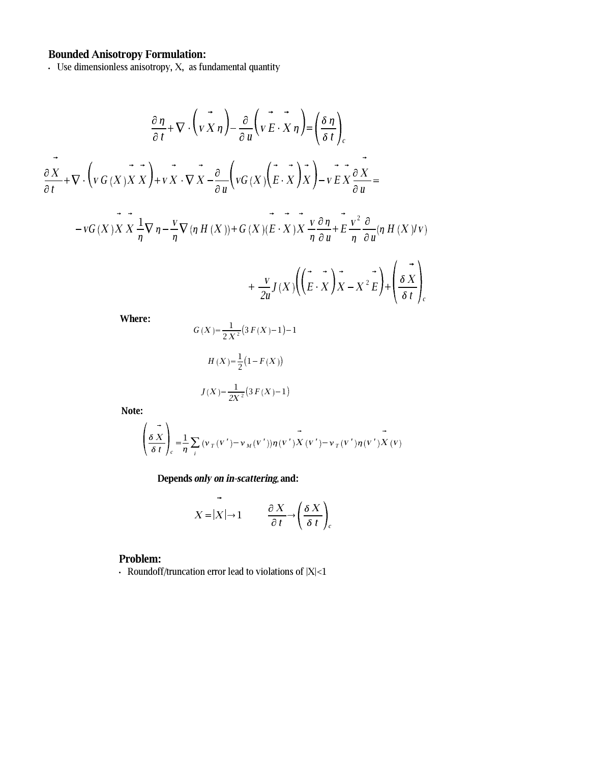**Bounded Anisotropy Formulation:**<br>Use dimensionless anisotropy, X, as fundamental quantity

$$
\frac{\partial \eta}{\partial t} + \nabla \cdot \left( \vec{v} \times \eta \right) - \frac{\partial}{\partial u} \left( \vec{v} \times \vec{v} \times \eta \right) = \left( \frac{\delta \eta}{\delta t} \right)_{c}
$$
\n
$$
\frac{\partial X}{\partial t} + \nabla \cdot \left( \vec{v} \times (X) \times X \right) + \vec{v} \times \nabla \cdot \nabla X - \frac{\partial}{\partial u} \left( \vec{v} \times (X) \times \vec{v} \times \gamma \right) - \vec{v} \times \frac{\partial X}{\partial u} =
$$
\n
$$
- \vec{v} \times (X) \times X \frac{1}{\eta} \nabla \eta - \frac{\vec{v} \nabla (\eta H(X)) + G(X) (\vec{E} \cdot X) \times \frac{\vec{v} \cdot \partial \eta}{\eta \partial u} + \vec{E} \frac{\vec{v}^2}{\eta} \frac{\partial}{\partial u} (\eta H(X) / \vec{v})
$$

$$
+\frac{v}{2u}J(X)\left(\left(\vec{E}\cdot\vec{X}\right)\vec{X}-X^{2}\vec{E}\right)+\left(\frac{\vec{\delta X}}{\delta t}\right)_{c}
$$

Where:

$$
G(X) = \frac{1}{2X^2} (3 F(X) - 1) - 1
$$

$$
H(X) = \frac{1}{2} (1 - F(X))
$$

$$
J(X) = \frac{1}{2X^2} (3 F(X) - 1)
$$

Note:

$$
\left(\frac{\partial X}{\partial t}\right)_c = \frac{1}{\eta} \sum_i (\nu_T(v') - \nu_M(v')) \eta(v') X(v') - \nu_T(v') \eta(v') X(v)
$$

Depends only on in-scattering, and:

$$
X = |X| \to 1 \qquad \frac{\partial X}{\partial t} \to \left(\frac{\delta X}{\delta t}\right)_c
$$

### Problem:

- Roundoff/truncation error lead to violations of  $|X|$ <1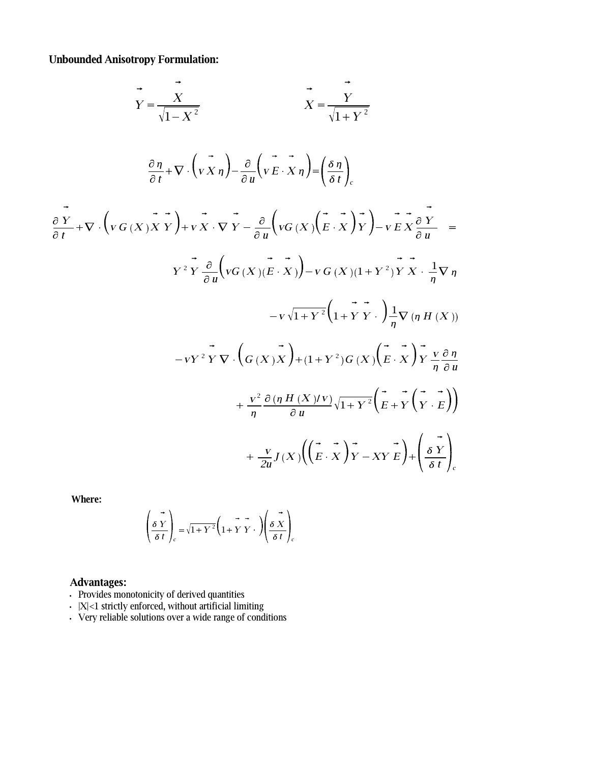**Unbounded Anisotropy Formulation:**

$$
\vec{Y} = \frac{\vec{X}}{\sqrt{1 - X^2}} \qquad \vec{X} = \frac{\vec{Y}}{\sqrt{1 + Y^2}}
$$
\n
$$
\frac{\partial \eta}{\partial t} + \nabla \cdot (\vec{V} \times \eta) - \frac{\partial}{\partial u} (\vec{V} \times \vec{X} \eta) = \left(\frac{\delta \eta}{\delta t}\right)_{c}
$$
\n
$$
\frac{\partial \vec{Y}}{\partial t} + \nabla \cdot (\vec{V} \times \vec{V} \times \vec{V}) + \nabla \cdot \vec{V} \times \vec{V} \times \vec{V} \times \vec{V} \times \vec{V} \times \vec{V} \times \vec{V} \times \vec{V} \times \vec{V} \times \vec{V} \times \vec{V} \times \vec{V} \times \vec{V} \times \vec{V} \times \vec{V} \times \vec{V} \times \vec{V} \times \vec{V} \times \vec{V} \times \vec{V} \times \vec{V} \times \vec{V} \times \vec{V} \times \vec{V} \times \vec{V} \times \vec{V} \times \vec{V} \times \vec{V} \times \vec{V} \times \vec{V} \times \vec{V} \times \vec{V} \times \vec{V} \times \vec{V} \times \vec{V} \times \vec{V} \times \vec{V} \times \vec{V} \times \vec{V} \times \vec{V} \times \vec{V} \times \vec{V} \times \vec{V} \times \vec{V} \times \vec{V} \times \vec{V} \times \vec{V} \times \vec{V} \times \vec{V} \times \vec{V} \times \vec{V} \times \vec{V} \times \vec{V} \times \vec{V} \times \vec{V} \times \vec{V} \times \vec{V} \times \vec{V} \times \vec{V} \times \vec{V} \times \vec{V} \times \vec{V} \times \vec{V} \times \vec{V} \times \vec{V} \times \vec{V} \times \vec{V} \times \vec{V} \times \vec{V} \times \vec{V} \times \vec{V} \times \vec{V} \times \vec{V} \times \vec{V} \times \vec{V} \times \vec{V} \times \vec{V} \times \vec{V} \times \vec{V} \times \vec{V} \times \vec{V} \times \vec{V} \times \vec{V}
$$

**Where:**

$$
\left(\frac{\delta Y}{\delta t}\right)_c = \sqrt{1+Y^2} \left(\frac{1}{1+Y}Y\right) \left(\frac{\delta X}{\delta t}\right)_c
$$

### **Advantages:**

- <sup>+</sup> Provides monotonicity of derived quantities
- $\cdot$  |X|<1 strictly enforced, without artificial limiting
- <sup>+</sup> Very reliable solutions over a wide range of conditions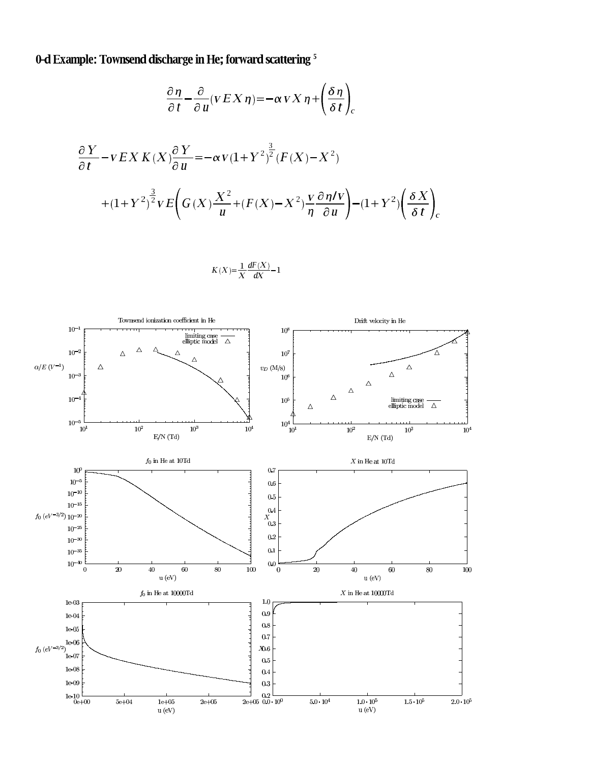0-d Example: Townsend discharge in He; forward scattering<sup>5</sup>

$$
\frac{\partial \eta}{\partial t} - \frac{\partial}{\partial u} (v E X \eta) = -\alpha v X \eta + \left(\frac{\delta \eta}{\delta t}\right)_{c}
$$
  

$$
\frac{\partial Y}{\partial t} - v E X K(X) \frac{\partial Y}{\partial u} = -\alpha v (1 + Y^{2})^{\frac{3}{2}} (F(X) - X^{2})
$$
  

$$
+ (1 + Y^{2})^{\frac{3}{2}} v E \left(G(X) \frac{X^{2}}{u} + (F(X) - X^{2}) \frac{v}{\eta} \frac{\partial \eta}{\partial u}\right) - (1 + Y^{2}) \left(\frac{\delta X}{\delta t}\right)_{c}
$$

$$
K(X){=}\frac{1}{X}\frac{dF(X)}{dX}{-}1
$$

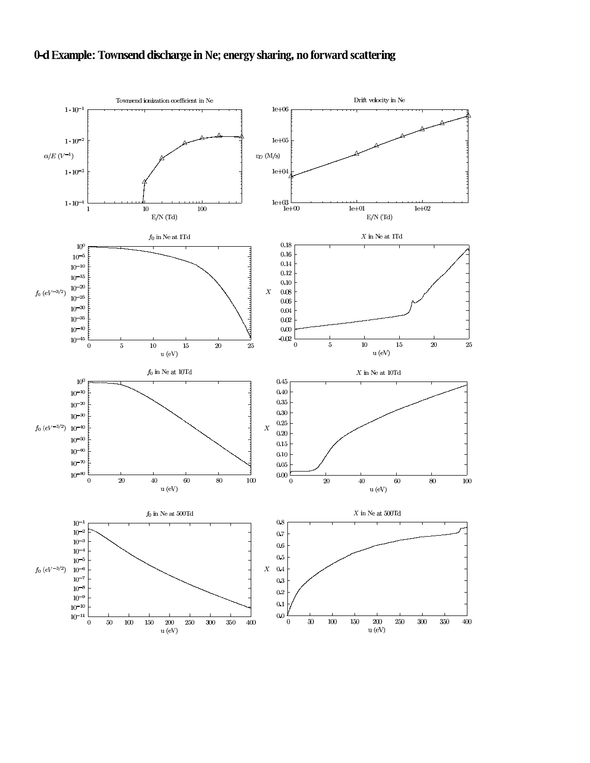## 0-d Example: Townsend discharge in Ne; energy sharing, no forward scattering